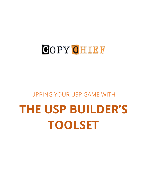## COPY CHIEF

### UPPING YOUR USP GAME WITH

# **THE USP BUILDER'S TOOLSET**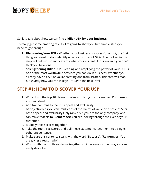## **GOPY CHIEF**

So, let's talk about how we can find **a killer USP for your business.**

To really get some amazing results, I'm going to show you two simple steps you need to go through.

- 1. **Discovering Your USP** Whether your business is successful or not, the first thing you need to do is identify what your current USP is. The tool set in this step will help you identify exactly what your current USP is - even if you don't think you have one.
- 2. **Strengthening Killer USP** Refining and amplifying the power of your USP is one of the most worthwhile activities you can do in business. Whether you already have a USP, or you're creating one from scratch. This step will map out exactly how you can take your USP to the next level

#### **STEP #1: HOW TO DISCOVER YOUR USP**

- 1. Write down the top 10 claims of value you bring to your market. Put these in a spreadsheet.
- 2. Add two columns to the list: appeal and exclusivity.
- 3. As objectively as you can, rank each of the claims of value on a scale of 5 for both appeal and exclusivity.Only rank a 5 if you are the only company who can make that claim (**Remember:** You are looking through the eyes of your customer).
- 4. Multiply those scores together.
- 5. Take the top three scores and pull those statements together into a single, coherent sentence.
- 6. Make sure this sentence starts with the word "Because". (**Remember:** You are giving a reason why)
- 7. Wordsmith the top three claims together, so it becomes something you can easily describe.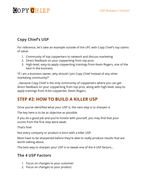## **GOPY CHIEF**

#### **Copy Chief's USP**

For reference, let's take an example outside of the UFC with Copy Chief's top claims of value:

- 1. Community of top copywriters to network and discuss marketing
- 2. Direct feedback on your copywriting from top pros
- 3. High-level, easy-to-apply copywriting trainings from Kevin Rogers, one of the best in the business.

"If I am a business owner, why should I join Copy Chief instead of any other marketing community?"

…because Copy Chief is the only community of copywriters where you can get direct feedback on your copywriting from top pros, along with high-level, easy-toapply trainings from A-list copywriter, Kevin Rogers.

#### **STEP #2: HOW TO BUILD A KILLER USP**

Once you've identified what your USP is, the next step is to sharpen it.

The key here is to be as objective as possible.

If you do a good job and you're honest with yourself, you may find that your scores from the first step were weak.

That's fine!

Not every company or product is born with a killer USP.

Most have to be sharpened before they're able to really produce results that are worth talking about.

The best way to sharpen your USP is to tweak one of the 4 USP factors...

#### **The 4 USP Factors**

- 1. Focus on changes to your customer
- 2. Focus on changes to your product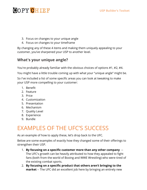## **GOPY CHIEF**

- 3. Focus on changes to your unique angle
- 4. Focus on changes to your timeframe

By changing any of these 4 items and making them uniquely appealing to your customer, you've sharpened your USP to another level.

#### **What's your unique angle?**

You're probably already familiar with the obvious choices of options #1, #2, #4.

You might have a little trouble coming up with what your "unique angle" might be.

So I've included a list of some specific areas you can look at tweaking to make your USP more compelling to your customer:

- 1. Benefit
- 2. Feature
- 3. Price
- 4. Customization
- 5. Presentation
- 6. Mechanism
- 7. Quality Level
- 8. Experience
- 9. Bundle

## EXAMPLES OF THE UFC'S SUCCESS

As an example of how to apply these, let's drop back to the UFC.

Below are some examples of exactly how they changed some of their offerings to strengthen their USP.

- 1. **By focusing on a specific customer more than any other company** -- The UFC's growth can be heavily attributed to how they appealed to fight fans (both from the world of Boxing and WWE Wrestling) who were tired of the existing combat sports.
- 2. **By focusing on a specific product that others aren't bringing to the market** -- The UFC did an excellent job here by bringing an entirely new